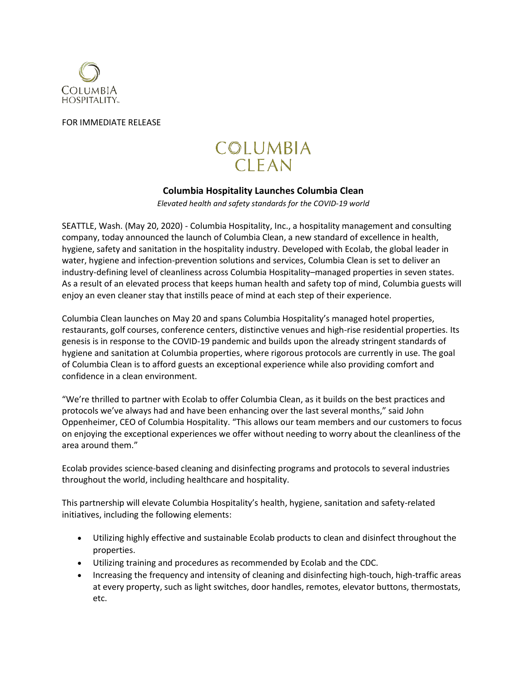

FOR IMMEDIATE RELEASE

## COLUMBIA **CLEAN**

## **Columbia Hospitality Launches Columbia Clean**

*Elevated health and safety standards for the COVID-19 world*

SEATTLE, Wash. (May 20, 2020) - Columbia Hospitality, Inc., a hospitality management and consulting company, today announced the launch of Columbia Clean, a new standard of excellence in health, hygiene, safety and sanitation in the hospitality industry. Developed with Ecolab, the global leader in water, hygiene and infection-prevention solutions and services, Columbia Clean is set to deliver an industry-defining level of cleanliness across Columbia Hospitality–managed properties in seven states. As a result of an elevated process that keeps human health and safety top of mind, Columbia guests will enjoy an even cleaner stay that instills peace of mind at each step of their experience.

Columbia Clean launches on May 20 and spans Columbia Hospitality's managed hotel properties, restaurants, golf courses, conference centers, distinctive venues and high-rise residential properties. Its genesis is in response to the COVID-19 pandemic and builds upon the already stringent standards of hygiene and sanitation at Columbia properties, where rigorous protocols are currently in use. The goal of Columbia Clean is to afford guests an exceptional experience while also providing comfort and confidence in a clean environment.

"We're thrilled to partner with Ecolab to offer Columbia Clean, as it builds on the best practices and protocols we've always had and have been enhancing over the last several months," said John Oppenheimer, CEO of Columbia Hospitality. "This allows our team members and our customers to focus on enjoying the exceptional experiences we offer without needing to worry about the cleanliness of the area around them."

Ecolab provides science-based cleaning and disinfecting programs and protocols to several industries throughout the world, including healthcare and hospitality.

This partnership will elevate Columbia Hospitality's health, hygiene, sanitation and safety-related initiatives, including the following elements:

- Utilizing highly effective and sustainable Ecolab products to clean and disinfect throughout the properties.
- Utilizing training and procedures as recommended by Ecolab and the CDC.
- Increasing the frequency and intensity of cleaning and disinfecting high-touch, high-traffic areas at every property, such as light switches, door handles, remotes, elevator buttons, thermostats, etc.